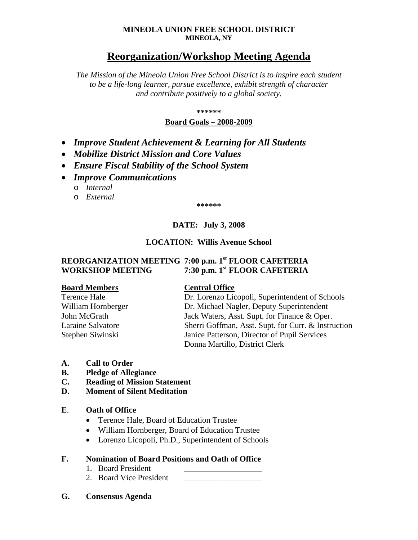### **MINEOLA UNION FREE SCHOOL DISTRICT MINEOLA, NY**

# **Reorganization/Workshop Meeting Agenda**

*The Mission of the Mineola Union Free School District is to inspire each student to be a life-long learner, pursue excellence, exhibit strength of character and contribute positively to a global society.*

**\*\*\*\*\*\***

### **Board Goals – 2008-2009**

- *Improve Student Achievement & Learning for All Students*
- *Mobilize District Mission and Core Values*
- *Ensure Fiscal Stability of the School System*
- *Improve Communications*
	- o *Internal*
	- o *External*

**\*\*\*\*\*\***

# **DATE: July 3, 2008**

## **LOCATION: Willis Avenue School**

# **REORGANIZATION MEETING 7:00 p.m. 1st FLOOR CAFETERIA WORKSHOP MEETING 7:30 p.m. 1st FLOOR CAFETERIA**

### **Board Members Central Office**

Terence Hale Dr. Lorenzo Licopoli, Superintendent of Schools William Hornberger **Dr. Michael Nagler, Deputy Superintendent** John McGrath Jack Waters, Asst. Supt. for Finance & Oper. Laraine Salvatore Sherri Goffman, Asst. Supt. for Curr. & Instruction Stephen Siwinski Janice Patterson, Director of Pupil Services Donna Martillo, District Clerk

- **A. Call to Order**
- **B. Pledge of Allegiance**
- **C. Reading of Mission Statement**
- **D. Moment of Silent Meditation**

### **E**. **Oath of Office**

- Terence Hale, Board of Education Trustee
- William Hornberger, Board of Education Trustee
- Lorenzo Licopoli, Ph.D., Superintendent of Schools

## **F. Nomination of Board Positions and Oath of Office**

- 1. Board President
- 2. Board Vice President
- **G. Consensus Agenda**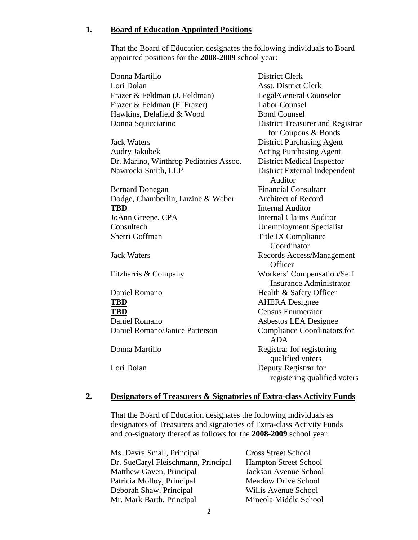### **1. Board of Education Appointed Positions**

That the Board of Education designates the following individuals to Board appointed positions for the **2008-2009** school year:

Donna Martillo **District Clerk** Lori Dolan Asst. District Clerk Frazer & Feldman (J. Feldman) Legal/General Counselor Frazer & Feldman (F. Frazer) Labor Counsel Hawkins, Delafield & Wood Bond Counsel Donna Squicciarino District Treasurer and Registrar for Coupons & Bonds Jack Waters District Purchasing Agent Audry Jakubek **Acting Purchasing Agent** Dr. Marino, Winthrop Pediatrics Assoc. District Medical Inspector Nawrocki Smith, LLP District External Independent Auditor Bernard Donegan Financial Consultant Dodge, Chamberlin, Luzine & Weber Architect of Record **TBD** Internal Auditor JoAnn Greene, CPA Internal Claims Auditor Consultech Unemployment Specialist Sherri Goffman Title IX Compliance Coordinator Jack Waters Records Access/Management **Officer** Fitzharris & Company Workers' Compensation/Self Insurance Administrator Daniel Romano Health & Safety Officer **TBD** AHERA Designee **TBD** Census Enumerator Daniel Romano Asbestos LEA Designee Daniel Romano/Janice Patterson Compliance Coordinators for ADA Donna Martillo Registrar for registering qualified voters Lori Dolan Deputy Registrar for registering qualified voters

### **2. Designators of Treasurers & Signatories of Extra-class Activity Funds**

That the Board of Education designates the following individuals as designators of Treasurers and signatories of Extra-class Activity Funds and co-signatory thereof as follows for the **2008-2009** school year:

| Ms. Devra Small, Principal          | <b>Cross Street School</b>   |
|-------------------------------------|------------------------------|
| Dr. SueCaryl Fleischmann, Principal | <b>Hampton Street School</b> |
| Matthew Gaven, Principal            | Jackson Avenue School        |
| Patricia Molloy, Principal          | <b>Meadow Drive School</b>   |
| Deborah Shaw, Principal             | Willis Avenue School         |
| Mr. Mark Barth, Principal           | Mineola Middle School        |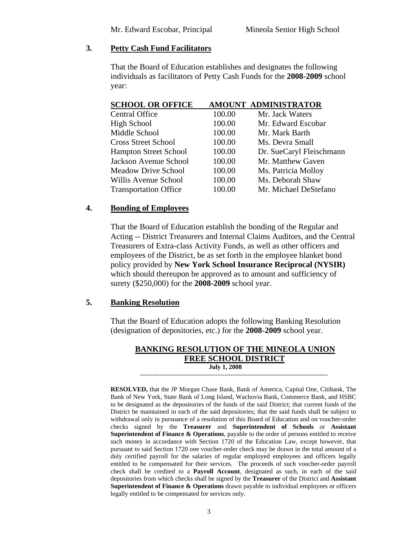# **3. Petty Cash Fund Facilitators**

That the Board of Education establishes and designates the following individuals as facilitators of Petty Cash Funds for the **2008-2009** school year:

| <b>SCHOOL OR OFFICE</b> | AMOUNT ADMINISTRATOR |
|-------------------------|----------------------|
|                         |                      |

| <b>Central Office</b>        | 100.00 | Mr. Jack Waters          |
|------------------------------|--------|--------------------------|
| High School                  | 100.00 | Mr. Edward Escobar       |
| Middle School                | 100.00 | Mr. Mark Barth           |
| <b>Cross Street School</b>   | 100.00 | Ms. Devra Small          |
| <b>Hampton Street School</b> | 100.00 | Dr. SueCaryl Fleischmann |
| Jackson Avenue School        | 100.00 | Mr. Matthew Gaven        |
| <b>Meadow Drive School</b>   | 100.00 | Ms. Patricia Molloy      |
| Willis Avenue School         | 100.00 | Ms. Deborah Shaw         |
| <b>Transportation Office</b> | 100.00 | Mr. Michael DeStefano    |
|                              |        |                          |

# **4. Bonding of Employees**

That the Board of Education establish the bonding of the Regular and Acting -- District Treasurers and Internal Claims Auditors, and the Central Treasurers of Extra-class Activity Funds, as well as other officers and employees of the District, be as set forth in the employee blanket bond policy provided by **New York School Insurance Reciprocal (NYSIR)** which should thereupon be approved as to amount and sufficiency of surety (\$250,000) for the **2008-2009** school year.

## **5. Banking Resolution**

That the Board of Education adopts the following Banking Resolution (designation of depositories, etc.) for the **2008-2009** school year.

### **BANKING RESOLUTION OF THE MINEOLA UNION FREE SCHOOL DISTRICT July 1, 2008**

---------------------------------------------------------------------------------------

**RESOLVED,** that the JP Morgan Chase Bank, Bank of America, Capital One, Citibank, The Bank of New York, State Bank of Long Island, Wachovia Bank, Commerce Bank, and HSBC to be designated as the depositories of the funds of the said District; that current funds of the District be maintained in each of the said depositories; that the said funds shall be subject to withdrawal only in pursuance of a resolution of this Board of Education and on voucher-order checks signed by the **Treasurer** and **Superintendent of Schools** or **Assistant Superintendent of Finance & Operations**, payable to the order of persons entitled to receive such money in accordance with Section 1720 of the Education Law, except however, that pursuant to said Section 1720 one voucher-order check may be drawn in the total amount of a duly certified payroll for the salaries of regular employed employees and officers legally entitled to be compensated for their services. The proceeds of such voucher-order payroll check shall be credited to a **Payroll Account**, designated as such, in each of the said depositories from which checks shall be signed by the **Treasurer** of the District and **Assistant Superintendent of Finance & Operations** drawn payable to individual employees or officers legally entitled to be compensated for services only.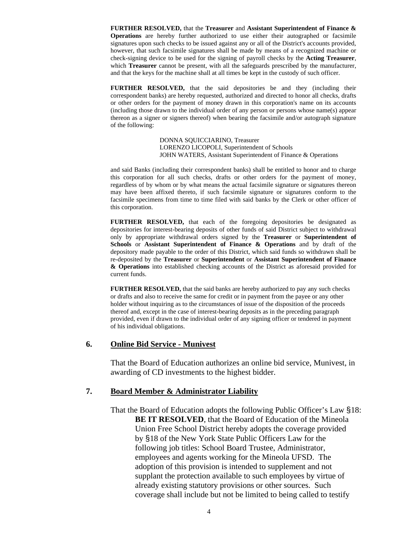**FURTHER RESOLVED,** that the **Treasurer** and **Assistant Superintendent of Finance & Operations** are hereby further authorized to use either their autographed or facsimile signatures upon such checks to be issued against any or all of the District's accounts provided, however, that such facsimile signatures shall be made by means of a recognized machine or check-signing device to be used for the signing of payroll checks by the **Acting Treasurer**, which **Treasurer** cannot be present, with all the safeguards prescribed by the manufacturer, and that the keys for the machine shall at all times be kept in the custody of such officer.

**FURTHER RESOLVED,** that the said depositories be and they (including their correspondent banks) are hereby requested, authorized and directed to honor all checks, drafts or other orders for the payment of money drawn in this corporation's name on its accounts (including those drawn to the individual order of any person or persons whose name(s) appear thereon as a signer or signers thereof) when bearing the facsimile and/or autograph signature of the following:

> DONNA SQUICCIARINO, Treasurer LORENZO LICOPOLI, Superintendent of Schools JOHN WATERS, Assistant Superintendent of Finance & Operations

and said Banks (including their correspondent banks) shall be entitled to honor and to charge this corporation for all such checks, drafts or other orders for the payment of money, regardless of by whom or by what means the actual facsimile signature or signatures thereon may have been affixed thereto, if such facsimile signature or signatures conform to the facsimile specimens from time to time filed with said banks by the Clerk or other officer of this corporation.

**FURTHER RESOLVED,** that each of the foregoing depositories be designated as depositories for interest-bearing deposits of other funds of said District subject to withdrawal only by appropriate withdrawal orders signed by the **Treasurer** or **Superintendent of Schools** or **Assistant Superintendent of Finance & Operations** and by draft of the depository made payable to the order of this District, which said funds so withdrawn shall be re-deposited by the **Treasurer** or **Superintendent** or **Assistant Superintendent of Finance & Operations** into established checking accounts of the District as aforesaid provided for current funds.

**FURTHER RESOLVED,** that the said banks are hereby authorized to pay any such checks or drafts and also to receive the same for credit or in payment from the payee or any other holder without inquiring as to the circumstances of issue of the disposition of the proceeds thereof and, except in the case of interest-bearing deposits as in the preceding paragraph provided, even if drawn to the individual order of any signing officer or tendered in payment of his individual obligations.

### **6. Online Bid Service - Munivest**

That the Board of Education authorizes an online bid service, Munivest, in awarding of CD investments to the highest bidder.

### **7. Board Member & Administrator Liability**

That the Board of Education adopts the following Public Officer's Law §18: **BE IT RESOLVED**, that the Board of Education of the Mineola Union Free School District hereby adopts the coverage provided by §18 of the New York State Public Officers Law for the following job titles: School Board Trustee, Administrator, employees and agents working for the Mineola UFSD. The adoption of this provision is intended to supplement and not supplant the protection available to such employees by virtue of already existing statutory provisions or other sources. Such coverage shall include but not be limited to being called to testify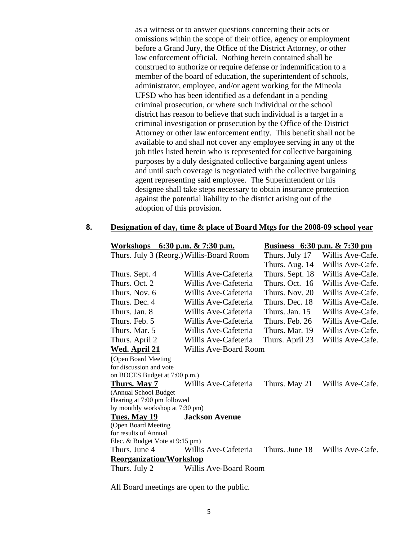as a witness or to answer questions concerning their acts or omissions within the scope of their office, agency or employment before a Grand Jury, the Office of the District Attorney, or other law enforcement official. Nothing herein contained shall be construed to authorize or require defense or indemnification to a member of the board of education, the superintendent of schools, administrator, employee, and/or agent working for the Mineola UFSD who has been identified as a defendant in a pending criminal prosecution, or where such individual or the school district has reason to believe that such individual is a target in a criminal investigation or prosecution by the Office of the District Attorney or other law enforcement entity. This benefit shall not be available to and shall not cover any employee serving in any of the job titles listed herein who is represented for collective bargaining purposes by a duly designated collective bargaining agent unless and until such coverage is negotiated with the collective bargaining agent representing said employee. The Superintendent or his designee shall take steps necessary to obtain insurance protection against the potential liability to the district arising out of the adoption of this provision.

### **8. Designation of day, time & place of Board Mtgs for the 2008-09 school year**

| <u>Workshops</u>                         | 6:30 p.m. $& 7:30$ p.m. | <u>Business 6:30 p.m. &amp; 7:30 pm</u> |                  |
|------------------------------------------|-------------------------|-----------------------------------------|------------------|
| Thurs. July 3 (Reorg.) Willis-Board Room |                         | Thurs. July 17                          | Willis Ave-Cafe. |
|                                          |                         | Thurs. Aug. 14                          | Willis Ave-Cafe. |
| Thurs. Sept. 4                           | Willis Ave-Cafeteria    | Thurs. Sept. 18                         | Willis Ave-Cafe. |
| Thurs. Oct. 2                            | Willis Ave-Cafeteria    | Thurs. Oct. 16                          | Willis Ave-Cafe. |
| Thurs. Nov. 6                            | Willis Ave-Cafeteria    | Thurs. Nov. 20                          | Willis Ave-Cafe. |
| Thurs. Dec. 4                            | Willis Ave-Cafeteria    | Thurs. Dec. 18                          | Willis Ave-Cafe. |
| Thurs. Jan. 8                            | Willis Ave-Cafeteria    | Thurs. Jan. 15                          | Willis Ave-Cafe. |
| Thurs. Feb. 5                            | Willis Ave-Cafeteria    | Thurs. Feb. 26                          | Willis Ave-Cafe. |
| Thurs, Mar. 5                            | Willis Ave-Cafeteria    | Thurs. Mar. 19                          | Willis Ave-Cafe. |
| Thurs. April 2                           | Willis Ave-Cafeteria    | Thurs. April 23                         | Willis Ave-Cafe. |
| Wed. April 21                            | Willis Ave-Board Room   |                                         |                  |
| (Open Board Meeting                      |                         |                                         |                  |
| for discussion and vote                  |                         |                                         |                  |
| on BOCES Budget at 7:00 p.m.)            |                         |                                         |                  |
| Thurs. May 7                             | Willis Ave-Cafeteria    | Thurs. May 21                           | Willis Ave-Cafe. |
| (Annual School Budget)                   |                         |                                         |                  |
| Hearing at 7:00 pm followed              |                         |                                         |                  |
| by monthly workshop at 7:30 pm)          |                         |                                         |                  |
| Tues. May 19                             | <b>Jackson Avenue</b>   |                                         |                  |
| (Open Board Meeting                      |                         |                                         |                  |
| for results of Annual                    |                         |                                         |                  |
| Elec. & Budget Vote at 9:15 pm)          |                         |                                         |                  |
| Thurs. June 4                            | Willis Ave-Cafeteria    | Thurs. June 18                          | Willis Ave-Cafe. |
| <b>Reorganization/Workshop</b>           |                         |                                         |                  |
| Thurs. July 2                            | Willis Ave-Board Room   |                                         |                  |

All Board meetings are open to the public.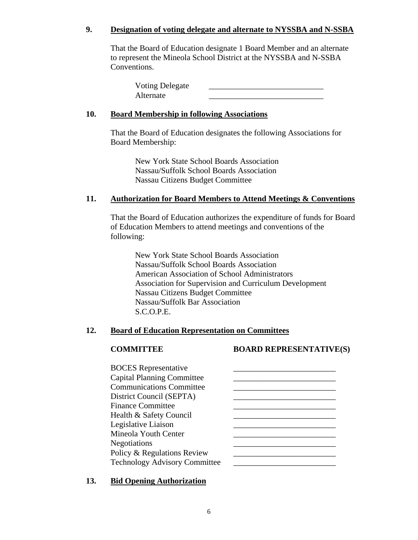# **9. Designation of voting delegate and alternate to NYSSBA and N-SSBA**

That the Board of Education designate 1 Board Member and an alternate to represent the Mineola School District at the NYSSBA and N-SSBA Conventions.

| <b>Voting Delegate</b> |  |
|------------------------|--|
| Alternate              |  |

# **10. Board Membership in following Associations**

That the Board of Education designates the following Associations for Board Membership:

> New York State School Boards Association Nassau/Suffolk School Boards Association Nassau Citizens Budget Committee

# **11. Authorization for Board Members to Attend Meetings & Conventions**

That the Board of Education authorizes the expenditure of funds for Board of Education Members to attend meetings and conventions of the following:

New York State School Boards Association Nassau/Suffolk School Boards Association American Association of School Administrators Association for Supervision and Curriculum Development Nassau Citizens Budget Committee Nassau/Suffolk Bar Association S.C.O.P.E.

## **12. Board of Education Representation on Committees**

# **COMMITTEE BOARD REPRESENTATIVE(S)**

| <b>BOCES</b> Representative          |  |
|--------------------------------------|--|
| <b>Capital Planning Committee</b>    |  |
| <b>Communications Committee</b>      |  |
| District Council (SEPTA)             |  |
| <b>Finance Committee</b>             |  |
| Health & Safety Council              |  |
| Legislative Liaison                  |  |
| Mineola Youth Center                 |  |
| Negotiations                         |  |
| Policy & Regulations Review          |  |
| <b>Technology Advisory Committee</b> |  |
|                                      |  |

## **13. Bid Opening Authorization**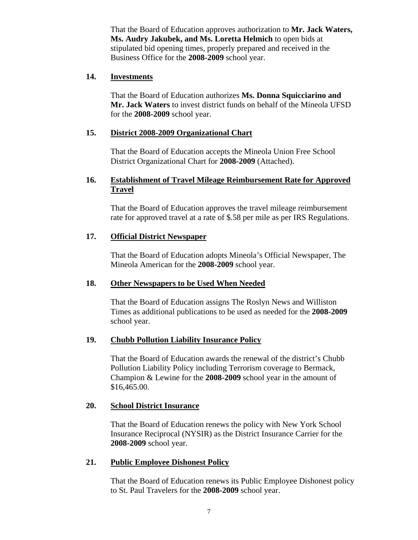That the Board of Education approves authorization to **Mr. Jack Waters, Ms. Audry Jakubek, and Ms. Loretta Helmich** to open bids at stipulated bid opening times, properly prepared and received in the Business Office for the **2008-2009** school year.

# **14. Investments**

That the Board of Education authorizes **Ms. Donna Squicciarino and Mr. Jack Waters** to invest district funds on behalf of the Mineola UFSD for the **2008-2009** school year.

# **15. District 2008-2009 Organizational Chart**

That the Board of Education accepts the Mineola Union Free School District Organizational Chart for **2008-2009** (Attached).

# **16. Establishment of Travel Mileage Reimbursement Rate for Approved Travel**

That the Board of Education approves the travel mileage reimbursement rate for approved travel at a rate of \$.58 per mile as per IRS Regulations.

# **17. Official District Newspaper**

That the Board of Education adopts Mineola's Official Newspaper, The Mineola American for the **2008-2009** school year.

# **18. Other Newspapers to be Used When Needed**

That the Board of Education assigns The Roslyn News and Williston Times as additional publications to be used as needed for the **2008-2009** school year.

# **19. Chubb Pollution Liability Insurance Policy**

That the Board of Education awards the renewal of the district's Chubb Pollution Liability Policy including Terrorism coverage to Bermack, Champion & Lewine for the **2008-2009** school year in the amount of \$16,465.00.

## **20. School District Insurance**

That the Board of Education renews the policy with New York School Insurance Reciprocal (NYSIR) as the District Insurance Carrier for the **2008-2009** school year.

## **21. Public Employee Dishonest Policy**

That the Board of Education renews its Public Employee Dishonest policy to St. Paul Travelers for the **2008-2009** school year.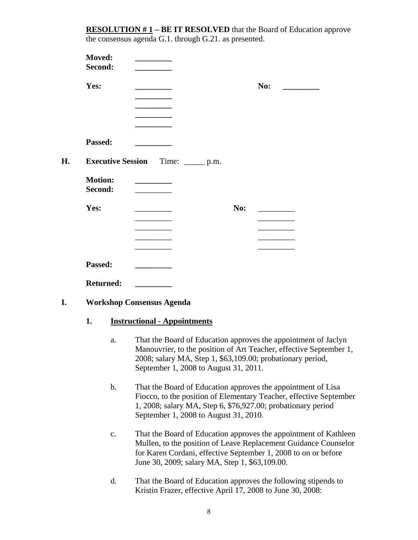**RESOLUTION #1** – **BE IT RESOLVED** that the Board of Education approve the consensus agenda G.1. through G.21. as presented.

|    | Moved:<br>Second:         |                  |                                                             |     |                                                                                                                                                                                                    |  |
|----|---------------------------|------------------|-------------------------------------------------------------|-----|----------------------------------------------------------------------------------------------------------------------------------------------------------------------------------------------------|--|
|    | Yes:                      |                  |                                                             |     | No:                                                                                                                                                                                                |  |
|    |                           |                  |                                                             |     |                                                                                                                                                                                                    |  |
|    |                           |                  |                                                             |     |                                                                                                                                                                                                    |  |
|    |                           |                  |                                                             |     |                                                                                                                                                                                                    |  |
|    | Passed:                   |                  |                                                             |     |                                                                                                                                                                                                    |  |
| Н. |                           |                  | <b>Executive Session</b><br>Time: $\rule{1em}{0.15mm}$ p.m. |     |                                                                                                                                                                                                    |  |
|    | <b>Motion:</b><br>Second: |                  |                                                             |     |                                                                                                                                                                                                    |  |
|    | Yes:                      |                  |                                                             | No: |                                                                                                                                                                                                    |  |
|    |                           |                  | <u> 1989 - Johann Barnett, fransk politiker (</u>           |     |                                                                                                                                                                                                    |  |
|    |                           |                  |                                                             |     |                                                                                                                                                                                                    |  |
|    |                           |                  |                                                             |     |                                                                                                                                                                                                    |  |
|    | Passed:                   |                  |                                                             |     |                                                                                                                                                                                                    |  |
|    |                           | <b>Returned:</b> | <b>Contract Contract</b>                                    |     |                                                                                                                                                                                                    |  |
| I. |                           |                  | <b>Workshop Consensus Agenda</b>                            |     |                                                                                                                                                                                                    |  |
|    | 1.                        |                  | <b>Instructional - Appointments</b>                         |     |                                                                                                                                                                                                    |  |
|    |                           | a.               | September 1, 2008 to August 31, 2011.                       |     | That the Board of Education approves the appointment of Jaclyn<br>Manouvrier, to the position of Art Teacher, effective September 1,<br>2008; salary MA, Step 1, \$63,109.00; probationary period, |  |

- b. That the Board of Education approves the appointment of Lisa Fiocco, to the position of Elementary Teacher, effective September 1, 2008; salary MA, Step 6, \$76,927.00; probationary period September 1, 2008 to August 31, 2010.
- c. That the Board of Education approves the appointment of Kathleen Mullen, to the position of Leave Replacement Guidance Counselor for Karen Cordani, effective September 1, 2008 to on or before June 30, 2009; salary MA, Step 1, \$63,109.00.
- d. That the Board of Education approves the following stipends to Kristin Frazer, effective April 17, 2008 to June 30, 2008: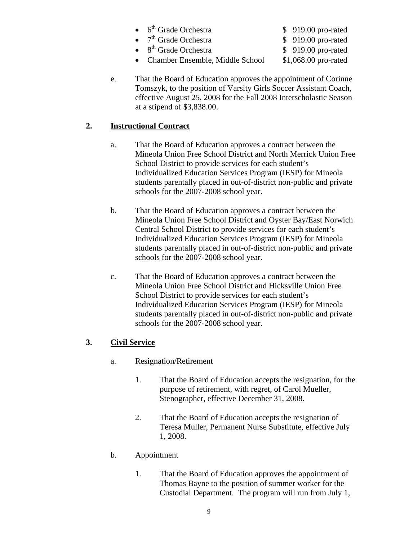- 6<sup>th</sup> Grade Orchestra <br>\$ 919.00 pro-rated
- $7<sup>th</sup>$  Grade Orchestra  $$ 919.00$  pro-rated
- 8<sup>th</sup> Grade Orchestra \$ 919.00 pro-rated

- 
- 
- Chamber Ensemble, Middle School \$1,068.00 pro-rated
- 
- e. That the Board of Education approves the appointment of Corinne Tomszyk, to the position of Varsity Girls Soccer Assistant Coach, effective August 25, 2008 for the Fall 2008 Interscholastic Season at a stipend of \$3,838.00.

# **2. Instructional Contract**

- a. That the Board of Education approves a contract between the Mineola Union Free School District and North Merrick Union Free School District to provide services for each student's Individualized Education Services Program (IESP) for Mineola students parentally placed in out-of-district non-public and private schools for the 2007-2008 school year.
- b. That the Board of Education approves a contract between the Mineola Union Free School District and Oyster Bay/East Norwich Central School District to provide services for each student's Individualized Education Services Program (IESP) for Mineola students parentally placed in out-of-district non-public and private schools for the 2007-2008 school year.
- c. That the Board of Education approves a contract between the Mineola Union Free School District and Hicksville Union Free School District to provide services for each student's Individualized Education Services Program (IESP) for Mineola students parentally placed in out-of-district non-public and private schools for the 2007-2008 school year.

# **3. Civil Service**

- a. Resignation/Retirement
	- 1. That the Board of Education accepts the resignation, for the purpose of retirement, with regret, of Carol Mueller, Stenographer, effective December 31, 2008.
	- 2. That the Board of Education accepts the resignation of Teresa Muller, Permanent Nurse Substitute, effective July 1, 2008.
- b. Appointment
	- 1. That the Board of Education approves the appointment of Thomas Bayne to the position of summer worker for the Custodial Department. The program will run from July 1,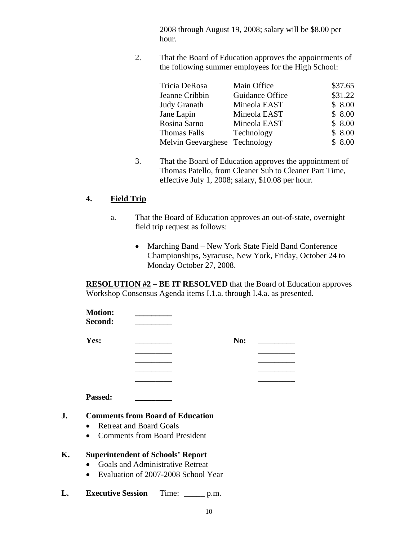2008 through August 19, 2008; salary will be \$8.00 per hour.

2. That the Board of Education approves the appointments of the following summer employees for the High School:

| Tricia DeRosa                 | Main Office     | \$37.65 |
|-------------------------------|-----------------|---------|
| Jeanne Cribbin                | Guidance Office | \$31.22 |
| Judy Granath                  | Mineola EAST    | \$8.00  |
| Jane Lapin                    | Mineola EAST    | \$8.00  |
| Rosina Sarno                  | Mineola EAST    | \$8.00  |
| <b>Thomas Falls</b>           | Technology      | \$8.00  |
| Melvin Geevarghese Technology |                 | \$8.00  |

3. That the Board of Education approves the appointment of Thomas Patello, from Cleaner Sub to Cleaner Part Time, effective July 1, 2008; salary, \$10.08 per hour.

# **4. Field Trip**

- a. That the Board of Education approves an out-of-state, overnight field trip request as follows:
	- Marching Band New York State Field Band Conference Championships, Syracuse, New York, Friday, October 24 to Monday October 27, 2008.

**RESOLUTION #2 – BE IT RESOLVED** that the Board of Education approves Workshop Consensus Agenda items I.1.a. through I.4.a. as presented.

| <b>Motion:</b><br>Second: |     |  |
|---------------------------|-----|--|
| Yes:                      | No: |  |
|                           |     |  |
|                           |     |  |
|                           |     |  |
|                           |     |  |

**Passed: \_\_\_\_\_\_\_\_\_**

# **J. Comments from Board of Education**

- Retreat and Board Goals
- Comments from Board President

# **K. Superintendent of Schools' Report**

- Goals and Administrative Retreat
- Evaluation of 2007-2008 School Year
- **L. Executive Session** Time: \_\_\_\_\_ p.m.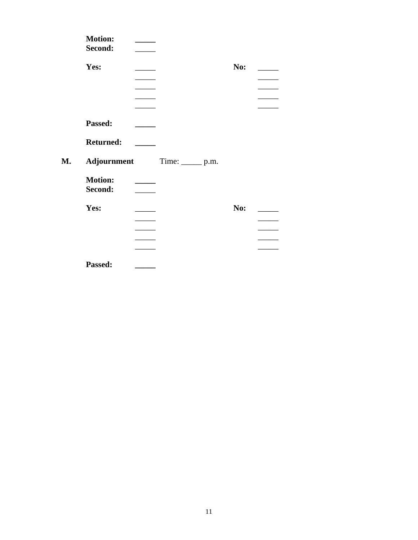| <b>Motion:</b><br>Second: |                               |     |
|---------------------------|-------------------------------|-----|
| Yes:                      |                               | No: |
|                           |                               |     |
|                           |                               |     |
|                           |                               |     |
| Passed:                   |                               |     |
| <b>Returned:</b>          |                               |     |
|                           | Adjournment Time: ______ p.m. |     |
| <b>Motion:</b><br>Second: |                               |     |
| Yes:                      |                               | No: |
|                           |                               |     |
|                           |                               |     |
|                           |                               |     |
| Passed:                   |                               |     |